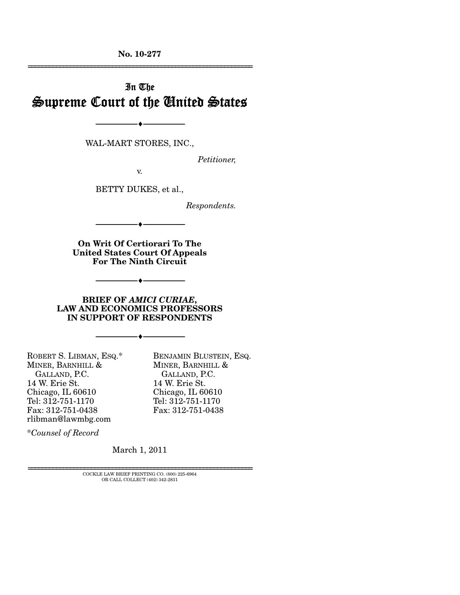**No. 10-277**  ================================================================

# In The Supreme Court of the United States

WAL-MART STORES, INC.,

--------------------------------- ♦ ---------------------------------

*Petitioner,* 

v.

BETTY DUKES, et al.,

*Respondents.* 

**On Writ Of Certiorari To The United States Court Of Appeals For The Ninth Circuit** 

--------------------------------- ♦ ---------------------------------

--------------------------------- ♦ ---------------------------------

#### **BRIEF OF** *AMICI CURIAE***, LAW AND ECONOMICS PROFESSORS IN SUPPORT OF RESPONDENTS**

--------------------------------- ♦ ---------------------------------

ROBERT S. LIBMAN, ESQ.\* MINER, BARNHILL & GALLAND, P.C. 14 W. Erie St. Chicago, IL 60610 Tel: 312-751-1170 Fax: 312-751-0438 rlibman@lawmbg.com

BENJAMIN BLUSTEIN, ESQ. MINER, BARNHILL & GALLAND, P.C. 14 W. Erie St. Chicago, IL 60610 Tel: 312-751-1170 Fax: 312-751-0438

\**Counsel of Record*

March 1, 2011

================================================================ COCKLE LAW BRIEF PRINTING CO. (800) 225-6964 OR CALL COLLECT (402) 342-2831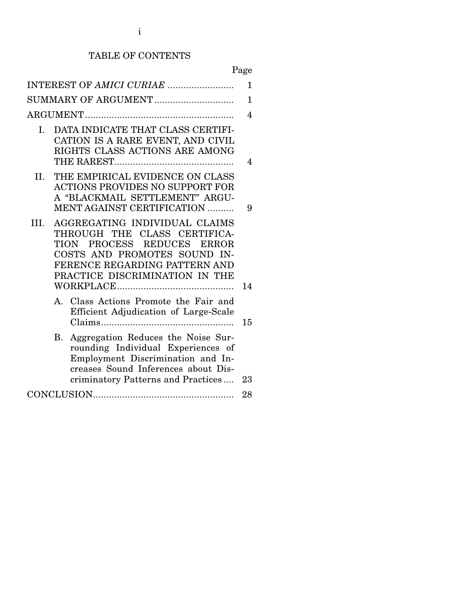## TABLE OF CONTENTS

Page

|                          | INTEREST OF AMICI CURIAE                                                                                                                                                                                           | 1  |  |  |
|--------------------------|--------------------------------------------------------------------------------------------------------------------------------------------------------------------------------------------------------------------|----|--|--|
|                          | SUMMARY OF ARGUMENT                                                                                                                                                                                                | 1  |  |  |
| $\overline{\mathcal{A}}$ |                                                                                                                                                                                                                    |    |  |  |
| $I_{\cdot}$              | DATA INDICATE THAT CLASS CERTIFI-<br>CATION IS A RARE EVENT, AND CIVIL<br>RIGHTS CLASS ACTIONS ARE AMONG                                                                                                           | 4  |  |  |
| II.                      | THE EMPIRICAL EVIDENCE ON CLASS<br><b>ACTIONS PROVIDES NO SUPPORT FOR</b><br>A "BLACKMAIL SETTLEMENT" ARGU-<br><b>MENT AGAINST CERTIFICATION </b>                                                                  | 9  |  |  |
| III.                     | AGGREGATING INDIVIDUAL CLAIMS<br>THROUGH THE CLASS CERTIFICA-<br>PROCESS REDUCES<br><b>TION</b><br><b>ERROR</b><br>COSTS AND PROMOTES SOUND IN-<br>FERENCE REGARDING PATTERN AND<br>PRACTICE DISCRIMINATION IN THE | 14 |  |  |
|                          | Class Actions Promote the Fair and<br>$A_{\cdot}$<br>Efficient Adjudication of Large-Scale                                                                                                                         | 15 |  |  |
|                          | Aggregation Reduces the Noise Sur-<br>В.<br>rounding Individual Experiences of<br>Employment Discrimination and In-<br>creases Sound Inferences about Dis-<br>criminatory Patterns and Practices                   | 23 |  |  |
|                          |                                                                                                                                                                                                                    |    |  |  |
|                          |                                                                                                                                                                                                                    |    |  |  |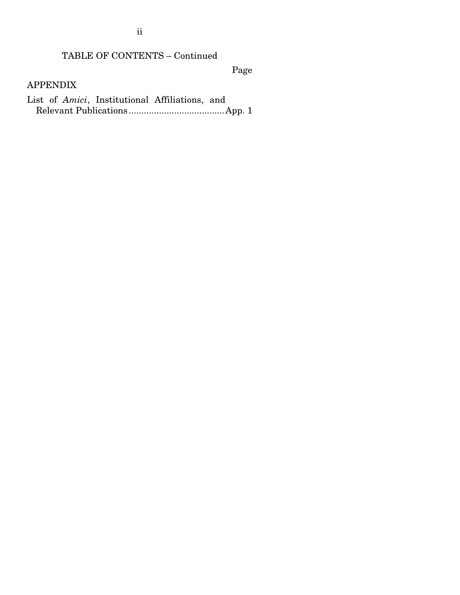ii

## TABLE OF CONTENTS – Continued

Page

APPENDIX

List of *Amici*, Institutional Affiliations, and Relevant Publications ...................................... App. 1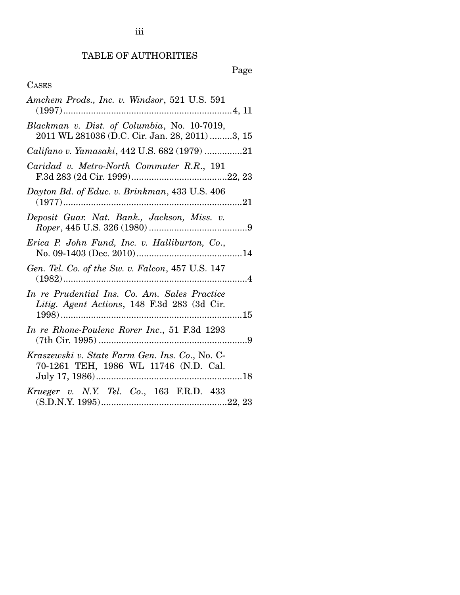## TABLE OF AUTHORITIES

Page

## **CASES**

| Amchem Prods., Inc. v. Windsor, 521 U.S. 591                                                  |
|-----------------------------------------------------------------------------------------------|
| Blackman v. Dist. of Columbia, No. 10-7019,<br>2011 WL 281036 (D.C. Cir. Jan. 28, 2011) 3, 15 |
| Califano v. Yamasaki, 442 U.S. 682 (1979) 21                                                  |
| Caridad v. Metro-North Commuter R.R., 191                                                     |
| Dayton Bd. of Educ. v. Brinkman, 433 U.S. 406                                                 |
| Deposit Guar. Nat. Bank., Jackson, Miss. v.                                                   |
| Erica P. John Fund, Inc. v. Halliburton, Co.,                                                 |
| Gen. Tel. Co. of the Sw. v. Falcon, 457 U.S. 147                                              |
| In re Prudential Ins. Co. Am. Sales Practice<br>Litig. Agent Actions, 148 F.3d 283 (3d Cir.   |
| In re Rhone-Poulenc Rorer Inc., 51 F.3d 1293                                                  |
| Kraszewski v. State Farm Gen. Ins. Co., No. C-<br>70-1261 TEH, 1986 WL 11746 (N.D. Cal.       |
| Krueger v. N.Y. Tel. Co., 163 F.R.D. 433                                                      |

iii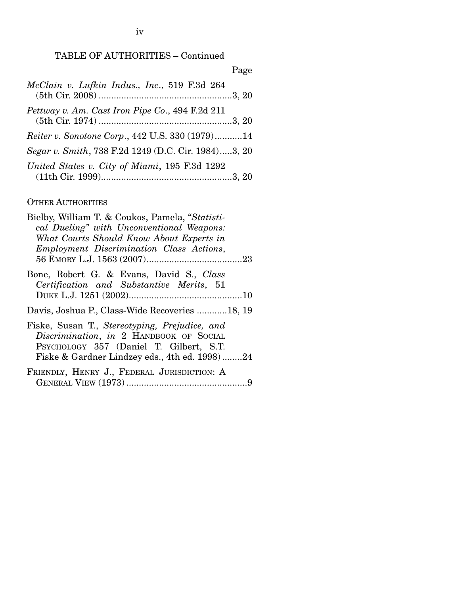## TABLE OF AUTHORITIES – Continued

|                                                     | Page |
|-----------------------------------------------------|------|
| McClain v. Lufkin Indus., Inc., 519 F.3d 264        |      |
| Pettway v. Am. Cast Iron Pipe Co., 494 F.2d 211     |      |
| Reiter v. Sonotone Corp., 442 U.S. 330 (1979)14     |      |
| Segar v. Smith, 738 F.2d 1249 (D.C. Cir. 1984)3, 20 |      |
| United States v. City of Miami, 195 F.3d 1292       |      |

## OTHER AUTHORITIES

| Bielby, William T. & Coukos, Pamela, "Statisti-<br>cal Dueling" with Unconventional Weapons:<br>What Courts Should Know About Experts in<br>Employment Discrimination Class Actions, |
|--------------------------------------------------------------------------------------------------------------------------------------------------------------------------------------|
| Bone, Robert G. & Evans, David S., Class<br>Certification and Substantive Merits, 51                                                                                                 |
| Davis, Joshua P., Class-Wide Recoveries 18, 19                                                                                                                                       |
| Fiske, Susan T., Stereotyping, Prejudice, and<br>Discrimination, in 2 HANDBOOK OF SOCIAL<br>PSYCHOLOGY 357 (Daniel T. Gilbert, S.T.<br>Fiske & Gardner Lindzey eds., 4th ed. 1998)24 |
| FRIENDLY, HENRY J., FEDERAL JURISDICTION: A<br>9                                                                                                                                     |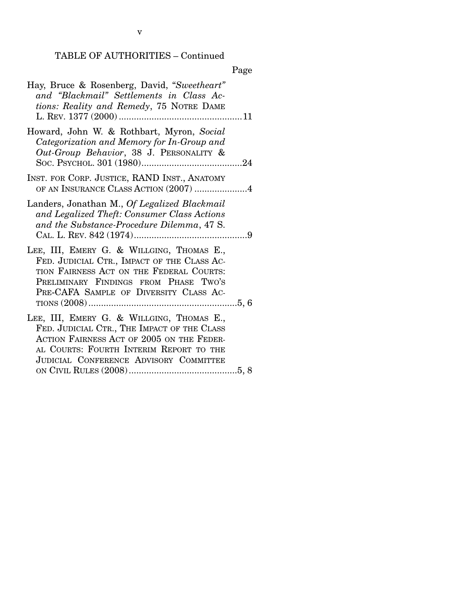## TABLE OF AUTHORITIES – Continued

|--|

| Hay, Bruce & Rosenberg, David, "Sweetheart"<br>and "Blackmail" Settlements in Class Ac-<br>tions: Reality and Remedy, 75 NOTRE DAME                                                                                        |
|----------------------------------------------------------------------------------------------------------------------------------------------------------------------------------------------------------------------------|
| Howard, John W. & Rothbart, Myron, Social<br>Categorization and Memory for In-Group and<br>Out-Group Behavior, 38 J. PERSONALITY &                                                                                         |
| INST. FOR CORP. JUSTICE, RAND INST., ANATOMY<br>OF AN INSURANCE CLASS ACTION (2007) 4                                                                                                                                      |
| Landers, Jonathan M., Of Legalized Blackmail<br>and Legalized Theft: Consumer Class Actions<br>and the Substance-Procedure Dilemma, 47 S.                                                                                  |
| LEE, III, EMERY G. & WILLGING, THOMAS E.,<br>FED. JUDICIAL CTR., IMPACT OF THE CLASS AC-<br>TION FAIRNESS ACT ON THE FEDERAL COURTS:<br>PRELIMINARY FINDINGS FROM PHASE TWO'S<br>PRE-CAFA SAMPLE OF DIVERSITY CLASS AC-    |
| LEE, III, EMERY G. & WILLGING, THOMAS E.,<br>FED. JUDICIAL CTR., THE IMPACT OF THE CLASS<br>ACTION FAIRNESS ACT OF 2005 ON THE FEDER-<br>AL COURTS: FOURTH INTERIM REPORT TO THE<br>JUDICIAL CONFERENCE ADVISORY COMMITTEE |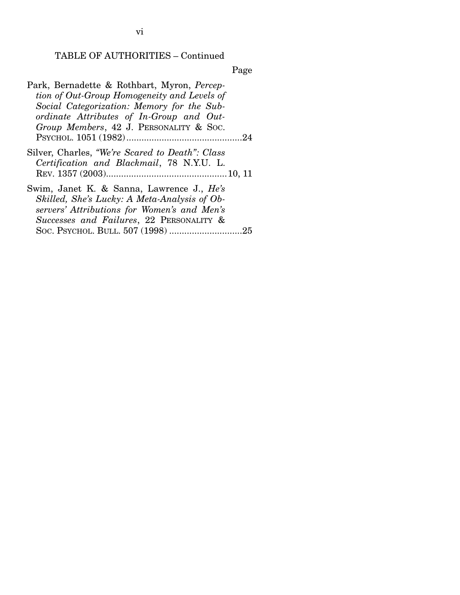#### TABLE OF AUTHORITIES – Continued

Page

Park, Bernadette & Rothbart, Myron, *Perception of Out-Group Homogeneity and Levels of Social Categorization: Memory for the Subordinate Attributes of In-Group and Out-Group Members*, 42 J. PERSONALITY & SOC. PSYCHOL. 1051 (1982) .............................................. 24 Silver, Charles, *"We're Scared to Death": Class Certification and Blackmail*, 78 N.Y.U. L. REV. 1357 (2003) ................................................ 10, 11 Swim, Janet K. & Sanna, Lawrence J., *He's Skilled, She's Lucky: A Meta-Analysis of Observers' Attributions for Women's and Men's Successes and Failures*, 22 PERSONALITY & SOC. PSYCHOL. BULL. 507 (1998) ............................. 25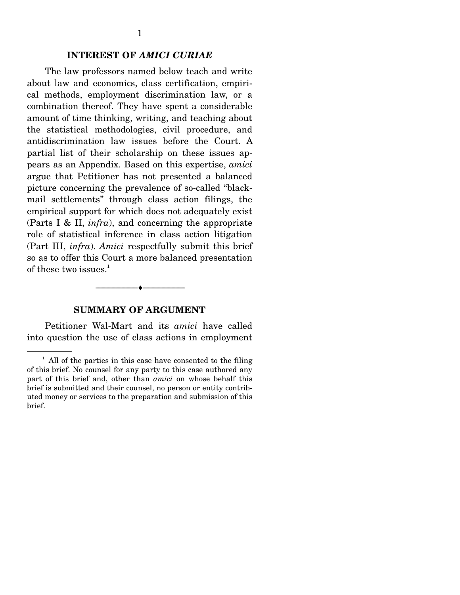### **INTEREST OF** *AMICI CURIAE*

 The law professors named below teach and write about law and economics, class certification, empirical methods, employment discrimination law, or a combination thereof. They have spent a considerable amount of time thinking, writing, and teaching about the statistical methodologies, civil procedure, and antidiscrimination law issues before the Court. A partial list of their scholarship on these issues appears as an Appendix. Based on this expertise, *amici* argue that Petitioner has not presented a balanced picture concerning the prevalence of so-called "blackmail settlements" through class action filings, the empirical support for which does not adequately exist (Parts I & II, *infra*), and concerning the appropriate role of statistical inference in class action litigation (Part III, *infra*). *Amici* respectfully submit this brief so as to offer this Court a more balanced presentation of these two issues. $1$ 

## **SUMMARY OF ARGUMENT**

--------------------------------- ♦ ---------------------------------

 Petitioner Wal-Mart and its *amici* have called into question the use of class actions in employment

<sup>&</sup>lt;sup>1</sup> All of the parties in this case have consented to the filing of this brief. No counsel for any party to this case authored any part of this brief and, other than *amici* on whose behalf this brief is submitted and their counsel, no person or entity contributed money or services to the preparation and submission of this brief.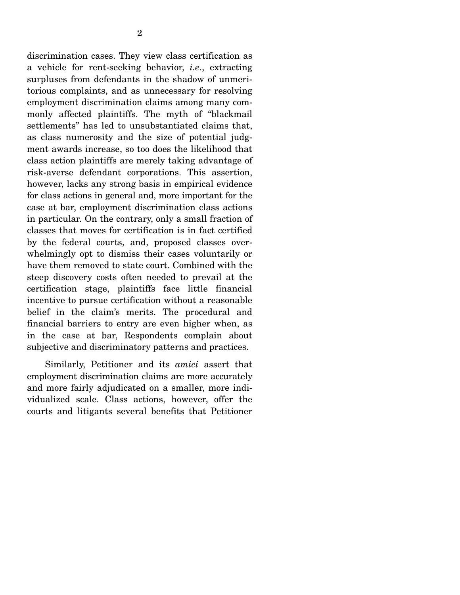discrimination cases. They view class certification as a vehicle for rent-seeking behavior, *i.e*., extracting surpluses from defendants in the shadow of unmeritorious complaints, and as unnecessary for resolving employment discrimination claims among many commonly affected plaintiffs. The myth of "blackmail settlements" has led to unsubstantiated claims that, as class numerosity and the size of potential judgment awards increase, so too does the likelihood that class action plaintiffs are merely taking advantage of risk-averse defendant corporations. This assertion, however, lacks any strong basis in empirical evidence for class actions in general and, more important for the case at bar, employment discrimination class actions in particular. On the contrary, only a small fraction of classes that moves for certification is in fact certified by the federal courts, and, proposed classes overwhelmingly opt to dismiss their cases voluntarily or have them removed to state court. Combined with the steep discovery costs often needed to prevail at the certification stage, plaintiffs face little financial incentive to pursue certification without a reasonable belief in the claim's merits. The procedural and financial barriers to entry are even higher when, as in the case at bar, Respondents complain about subjective and discriminatory patterns and practices.

 Similarly, Petitioner and its *amici* assert that employment discrimination claims are more accurately and more fairly adjudicated on a smaller, more individualized scale. Class actions, however, offer the courts and litigants several benefits that Petitioner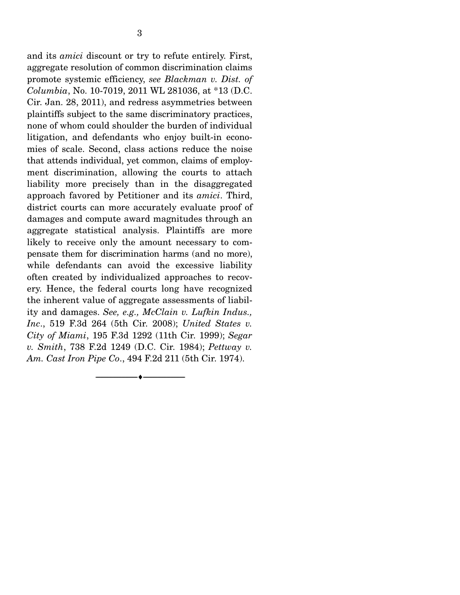and its *amici* discount or try to refute entirely. First, aggregate resolution of common discrimination claims promote systemic efficiency, *see Blackman v. Dist. of Columbia*, No. 10-7019, 2011 WL 281036, at \*13 (D.C. Cir. Jan. 28, 2011), and redress asymmetries between plaintiffs subject to the same discriminatory practices, none of whom could shoulder the burden of individual litigation, and defendants who enjoy built-in economies of scale. Second, class actions reduce the noise that attends individual, yet common, claims of employment discrimination, allowing the courts to attach liability more precisely than in the disaggregated approach favored by Petitioner and its *amici*. Third, district courts can more accurately evaluate proof of damages and compute award magnitudes through an aggregate statistical analysis. Plaintiffs are more likely to receive only the amount necessary to compensate them for discrimination harms (and no more), while defendants can avoid the excessive liability often created by individualized approaches to recovery. Hence, the federal courts long have recognized the inherent value of aggregate assessments of liability and damages. *See, e.g., McClain v. Lufkin Indus., Inc*., 519 F.3d 264 (5th Cir. 2008); *United States v. City of Miami*, 195 F.3d 1292 (11th Cir. 1999); *Segar v. Smith*, 738 F.2d 1249 (D.C. Cir. 1984); *Pettway v. Am. Cast Iron Pipe Co*., 494 F.2d 211 (5th Cir. 1974).

--------------------------------- ♦ ---------------------------------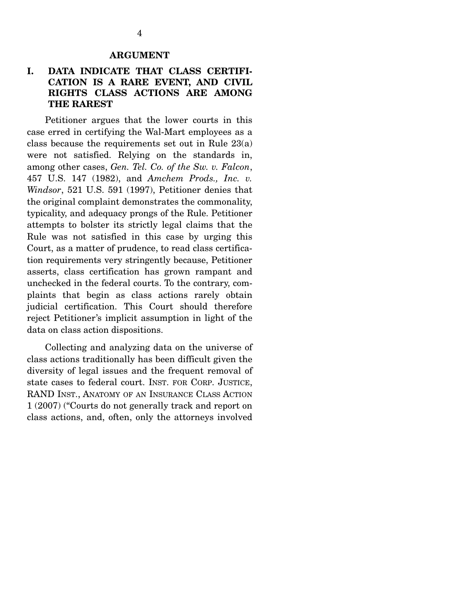#### **ARGUMENT**

## **I. DATA INDICATE THAT CLASS CERTIFI-CATION IS A RARE EVENT, AND CIVIL RIGHTS CLASS ACTIONS ARE AMONG THE RAREST**

 Petitioner argues that the lower courts in this case erred in certifying the Wal-Mart employees as a class because the requirements set out in Rule 23(a) were not satisfied. Relying on the standards in, among other cases, *Gen. Tel. Co. of the Sw. v. Falcon*, 457 U.S. 147 (1982), and *Amchem Prods., Inc. v. Windsor*, 521 U.S. 591 (1997), Petitioner denies that the original complaint demonstrates the commonality, typicality, and adequacy prongs of the Rule. Petitioner attempts to bolster its strictly legal claims that the Rule was not satisfied in this case by urging this Court, as a matter of prudence, to read class certification requirements very stringently because, Petitioner asserts, class certification has grown rampant and unchecked in the federal courts. To the contrary, complaints that begin as class actions rarely obtain judicial certification. This Court should therefore reject Petitioner's implicit assumption in light of the data on class action dispositions.

 Collecting and analyzing data on the universe of class actions traditionally has been difficult given the diversity of legal issues and the frequent removal of state cases to federal court. INST. FOR CORP. JUSTICE, RAND INST., ANATOMY OF AN INSURANCE CLASS ACTION 1 (2007) ("Courts do not generally track and report on class actions, and, often, only the attorneys involved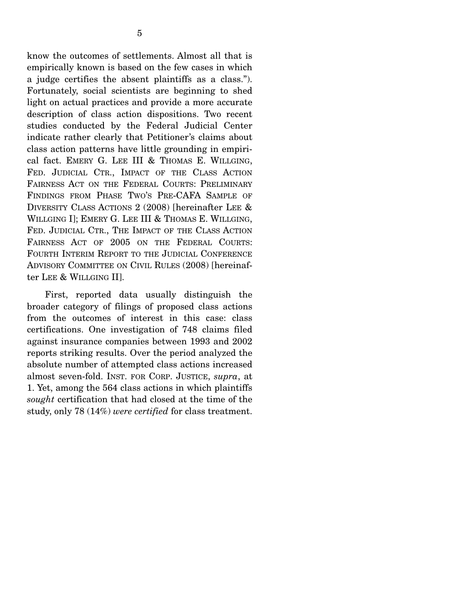know the outcomes of settlements. Almost all that is empirically known is based on the few cases in which a judge certifies the absent plaintiffs as a class."). Fortunately, social scientists are beginning to shed light on actual practices and provide a more accurate description of class action dispositions. Two recent studies conducted by the Federal Judicial Center indicate rather clearly that Petitioner's claims about class action patterns have little grounding in empirical fact. EMERY G. LEE III & THOMAS E. WILLGING, FED. JUDICIAL CTR., IMPACT OF THE CLASS ACTION FAIRNESS ACT ON THE FEDERAL COURTS: PRELIMINARY FINDINGS FROM PHASE TWO'S PRE-CAFA SAMPLE OF DIVERSITY CLASS ACTIONS 2 (2008) [hereinafter LEE & WILLGING I]; EMERY G. LEE III & THOMAS E. WILLGING, FED. JUDICIAL CTR., THE IMPACT OF THE CLASS ACTION FAIRNESS ACT OF 2005 ON THE FEDERAL COURTS: FOURTH INTERIM REPORT TO THE JUDICIAL CONFERENCE ADVISORY COMMITTEE ON CIVIL RULES (2008) [hereinafter LEE & WILLGING II].

 First, reported data usually distinguish the broader category of filings of proposed class actions from the outcomes of interest in this case: class certifications. One investigation of 748 claims filed against insurance companies between 1993 and 2002 reports striking results. Over the period analyzed the absolute number of attempted class actions increased almost seven-fold. INST. FOR CORP. JUSTICE, *supra*, at 1. Yet, among the 564 class actions in which plaintiffs *sought* certification that had closed at the time of the study, only 78 (14%) *were certified* for class treatment.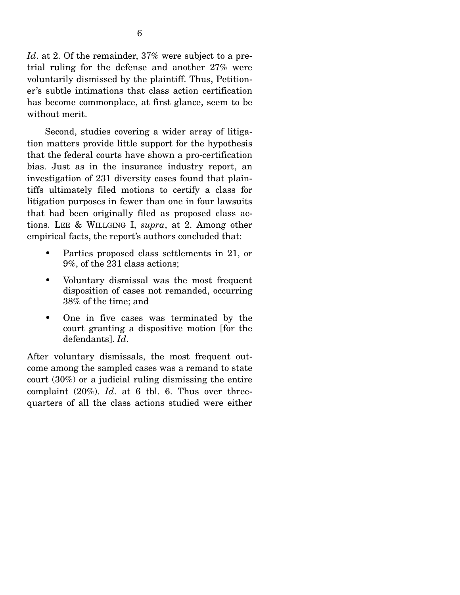*Id*. at 2. Of the remainder, 37% were subject to a pretrial ruling for the defense and another 27% were voluntarily dismissed by the plaintiff. Thus, Petitioner's subtle intimations that class action certification has become commonplace, at first glance, seem to be without merit.

 Second, studies covering a wider array of litigation matters provide little support for the hypothesis that the federal courts have shown a pro-certification bias. Just as in the insurance industry report, an investigation of 231 diversity cases found that plaintiffs ultimately filed motions to certify a class for litigation purposes in fewer than one in four lawsuits that had been originally filed as proposed class actions. LEE & WILLGING I, *supra*, at 2. Among other empirical facts, the report's authors concluded that:

- Parties proposed class settlements in 21, or 9%, of the 231 class actions;
- Voluntary dismissal was the most frequent disposition of cases not remanded, occurring 38% of the time; and
- One in five cases was terminated by the court granting a dispositive motion [for the defendants]. *Id*.

After voluntary dismissals, the most frequent outcome among the sampled cases was a remand to state court (30%) or a judicial ruling dismissing the entire complaint (20%). *Id*. at 6 tbl. 6. Thus over threequarters of all the class actions studied were either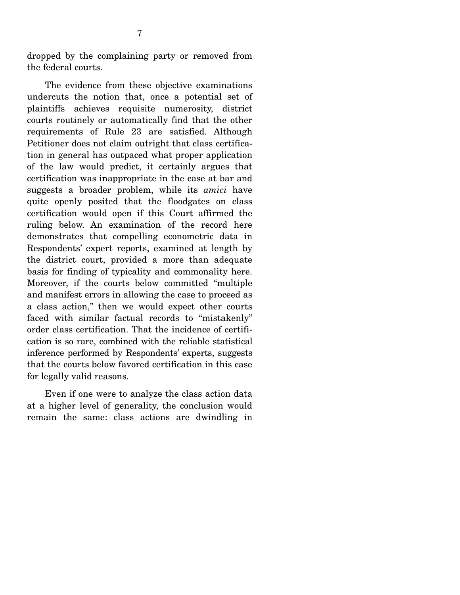dropped by the complaining party or removed from the federal courts.

 The evidence from these objective examinations undercuts the notion that, once a potential set of plaintiffs achieves requisite numerosity, district courts routinely or automatically find that the other requirements of Rule 23 are satisfied. Although Petitioner does not claim outright that class certification in general has outpaced what proper application of the law would predict, it certainly argues that certification was inappropriate in the case at bar and suggests a broader problem, while its *amici* have quite openly posited that the floodgates on class certification would open if this Court affirmed the ruling below. An examination of the record here demonstrates that compelling econometric data in Respondents' expert reports, examined at length by the district court, provided a more than adequate basis for finding of typicality and commonality here. Moreover, if the courts below committed "multiple and manifest errors in allowing the case to proceed as a class action," then we would expect other courts faced with similar factual records to "mistakenly" order class certification. That the incidence of certification is so rare, combined with the reliable statistical inference performed by Respondents' experts, suggests that the courts below favored certification in this case for legally valid reasons.

 Even if one were to analyze the class action data at a higher level of generality, the conclusion would remain the same: class actions are dwindling in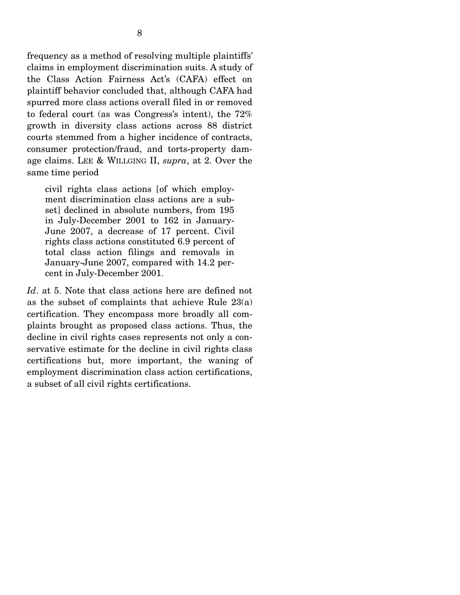frequency as a method of resolving multiple plaintiffs' claims in employment discrimination suits. A study of the Class Action Fairness Act's (CAFA) effect on plaintiff behavior concluded that, although CAFA had spurred more class actions overall filed in or removed to federal court (as was Congress's intent), the 72% growth in diversity class actions across 88 district courts stemmed from a higher incidence of contracts, consumer protection/fraud, and torts-property damage claims. LEE & WILLGING II, *supra*, at 2. Over the same time period

civil rights class actions [of which employment discrimination class actions are a subset] declined in absolute numbers, from  $195$ in July-December 2001 to 162 in January-June 2007, a decrease of 17 percent. Civil rights class actions constituted 6.9 percent of total class action filings and removals in January-June 2007, compared with 14.2 percent in July-December 2001.

*Id*. at 5. Note that class actions here are defined not as the subset of complaints that achieve Rule 23(a) certification. They encompass more broadly all complaints brought as proposed class actions. Thus, the decline in civil rights cases represents not only a conservative estimate for the decline in civil rights class certifications but, more important, the waning of employment discrimination class action certifications, a subset of all civil rights certifications.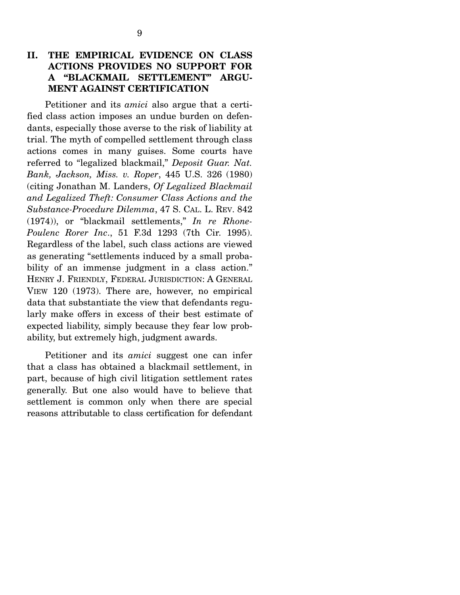## **II. THE EMPIRICAL EVIDENCE ON CLASS ACTIONS PROVIDES NO SUPPORT FOR A "BLACKMAIL SETTLEMENT" ARGU-MENT AGAINST CERTIFICATION**

 Petitioner and its *amici* also argue that a certified class action imposes an undue burden on defendants, especially those averse to the risk of liability at trial. The myth of compelled settlement through class actions comes in many guises. Some courts have referred to "legalized blackmail," *Deposit Guar. Nat. Bank, Jackson, Miss. v. Roper*, 445 U.S. 326 (1980) (citing Jonathan M. Landers, *Of Legalized Blackmail and Legalized Theft: Consumer Class Actions and the Substance-Procedure Dilemma*, 47 S. CAL. L. REV. 842 (1974)), or "blackmail settlements," *In re Rhone-Poulenc Rorer Inc*., 51 F.3d 1293 (7th Cir. 1995). Regardless of the label, such class actions are viewed as generating "settlements induced by a small probability of an immense judgment in a class action." HENRY J. FRIENDLY, FEDERAL JURISDICTION: A GENERAL VIEW 120 (1973). There are, however, no empirical data that substantiate the view that defendants regularly make offers in excess of their best estimate of expected liability, simply because they fear low probability, but extremely high, judgment awards.

 Petitioner and its *amici* suggest one can infer that a class has obtained a blackmail settlement, in part, because of high civil litigation settlement rates generally. But one also would have to believe that settlement is common only when there are special reasons attributable to class certification for defendant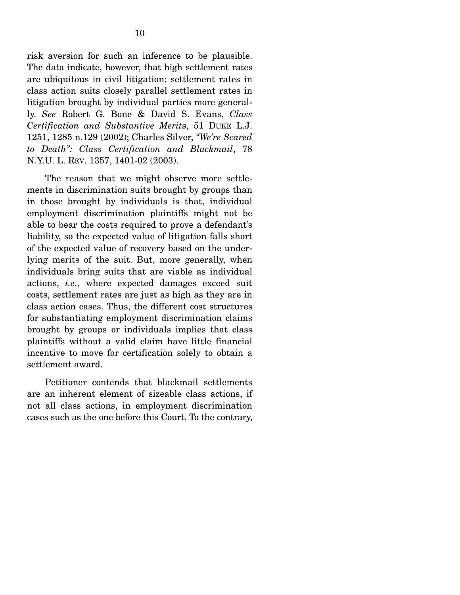risk aversion for such an inference to be plausible. The data indicate, however, that high settlement rates are ubiquitous in civil litigation; settlement rates in class action suits closely parallel settlement rates in litigation brought by individual parties more generally. *See* Robert G. Bone & David S. Evans, *Class Certification and Substantive Merit*s, 51 DUKE L.J. 1251, 1285 n.129 (2002); Charles Silver, *"We're Scared to Death": Class Certification and Blackmail*, 78 N.Y.U. L. REV. 1357, 1401-02 (2003).

 The reason that we might observe more settlements in discrimination suits brought by groups than in those brought by individuals is that, individual employment discrimination plaintiffs might not be able to bear the costs required to prove a defendant's liability, so the expected value of litigation falls short of the expected value of recovery based on the underlying merits of the suit. But, more generally, when individuals bring suits that are viable as individual actions, *i.e.*, where expected damages exceed suit costs, settlement rates are just as high as they are in class action cases. Thus, the different cost structures for substantiating employment discrimination claims brought by groups or individuals implies that class plaintiffs without a valid claim have little financial incentive to move for certification solely to obtain a settlement award.

 Petitioner contends that blackmail settlements are an inherent element of sizeable class actions, if not all class actions, in employment discrimination cases such as the one before this Court. To the contrary,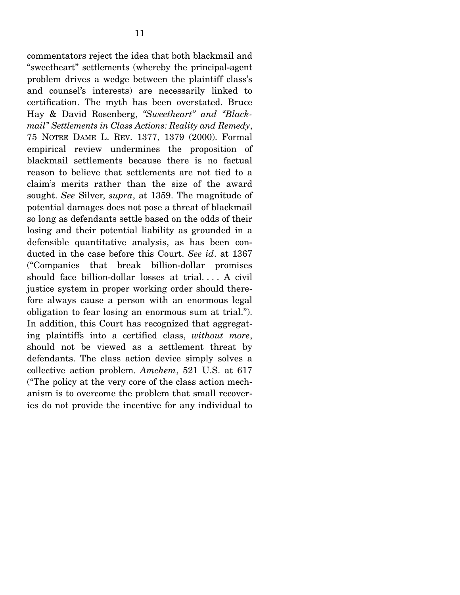commentators reject the idea that both blackmail and "sweetheart" settlements (whereby the principal-agent problem drives a wedge between the plaintiff class's and counsel's interests) are necessarily linked to certification. The myth has been overstated. Bruce Hay & David Rosenberg, *"Sweetheart" and "Blackmail" Settlements in Class Actions: Reality and Remedy*, 75 NOTRE DAME L. REV. 1377, 1379 (2000). Formal empirical review undermines the proposition of blackmail settlements because there is no factual reason to believe that settlements are not tied to a claim's merits rather than the size of the award sought. *See* Silver, *supra*, at 1359. The magnitude of potential damages does not pose a threat of blackmail so long as defendants settle based on the odds of their losing and their potential liability as grounded in a defensible quantitative analysis, as has been conducted in the case before this Court. *See id*. at 1367 ("Companies that break billion-dollar promises should face billion-dollar losses at trial. . . . A civil justice system in proper working order should therefore always cause a person with an enormous legal obligation to fear losing an enormous sum at trial."). In addition, this Court has recognized that aggregating plaintiffs into a certified class, *without more*, should not be viewed as a settlement threat by defendants. The class action device simply solves a collective action problem. *Amchem*, 521 U.S. at 617 ("The policy at the very core of the class action mechanism is to overcome the problem that small recoveries do not provide the incentive for any individual to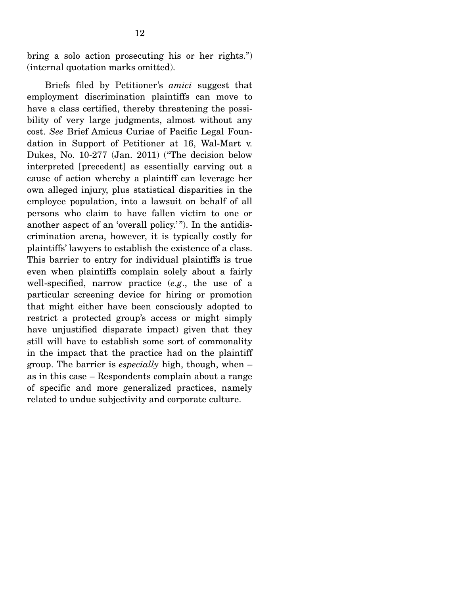bring a solo action prosecuting his or her rights.") (internal quotation marks omitted).

 Briefs filed by Petitioner's *amici* suggest that employment discrimination plaintiffs can move to have a class certified, thereby threatening the possibility of very large judgments, almost without any cost. *See* Brief Amicus Curiae of Pacific Legal Foundation in Support of Petitioner at 16, Wal-Mart v. Dukes, No. 10-277 (Jan. 2011) ("The decision below interpreted [precedent] as essentially carving out a cause of action whereby a plaintiff can leverage her own alleged injury, plus statistical disparities in the employee population, into a lawsuit on behalf of all persons who claim to have fallen victim to one or another aspect of an 'overall policy.'"). In the antidiscrimination arena, however, it is typically costly for plaintiffs' lawyers to establish the existence of a class. This barrier to entry for individual plaintiffs is true even when plaintiffs complain solely about a fairly well-specified, narrow practice (*e.g*., the use of a particular screening device for hiring or promotion that might either have been consciously adopted to restrict a protected group's access or might simply have unjustified disparate impact) given that they still will have to establish some sort of commonality in the impact that the practice had on the plaintiff group. The barrier is *especially* high, though, when – as in this case – Respondents complain about a range of specific and more generalized practices, namely related to undue subjectivity and corporate culture.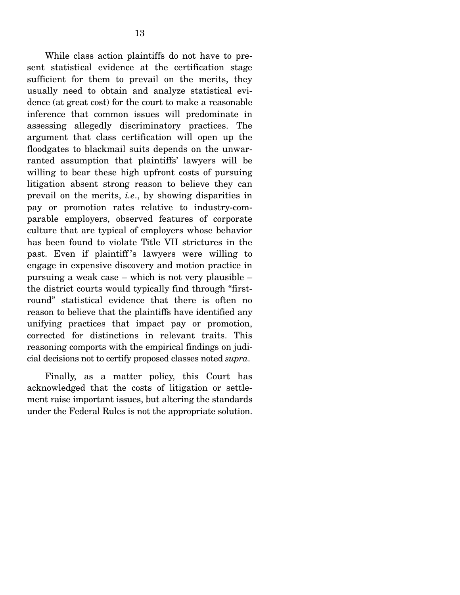While class action plaintiffs do not have to present statistical evidence at the certification stage sufficient for them to prevail on the merits, they usually need to obtain and analyze statistical evidence (at great cost) for the court to make a reasonable inference that common issues will predominate in assessing allegedly discriminatory practices. The argument that class certification will open up the floodgates to blackmail suits depends on the unwarranted assumption that plaintiffs' lawyers will be willing to bear these high upfront costs of pursuing litigation absent strong reason to believe they can prevail on the merits, *i.e*., by showing disparities in pay or promotion rates relative to industry-comparable employers, observed features of corporate culture that are typical of employers whose behavior has been found to violate Title VII strictures in the past. Even if plaintiff 's lawyers were willing to engage in expensive discovery and motion practice in pursuing a weak case – which is not very plausible – the district courts would typically find through "firstround" statistical evidence that there is often no reason to believe that the plaintiffs have identified any unifying practices that impact pay or promotion, corrected for distinctions in relevant traits. This reasoning comports with the empirical findings on judicial decisions not to certify proposed classes noted *supra*.

 Finally, as a matter policy, this Court has acknowledged that the costs of litigation or settlement raise important issues, but altering the standards under the Federal Rules is not the appropriate solution.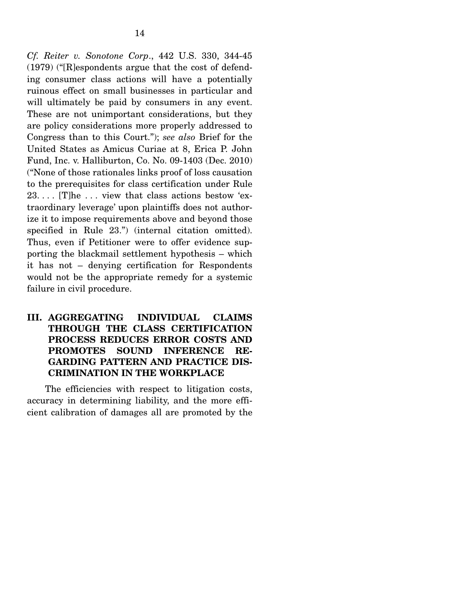*Cf. Reiter v. Sonotone Corp*., 442 U.S. 330, 344-45 (1979) ("[R]espondents argue that the cost of defending consumer class actions will have a potentially ruinous effect on small businesses in particular and will ultimately be paid by consumers in any event. These are not unimportant considerations, but they are policy considerations more properly addressed to Congress than to this Court."); *see also* Brief for the United States as Amicus Curiae at 8, Erica P. John Fund, Inc. v. Halliburton, Co. No. 09-1403 (Dec. 2010) ("None of those rationales links proof of loss causation to the prerequisites for class certification under Rule 23. . . . [T]he . . . view that class actions bestow 'extraordinary leverage' upon plaintiffs does not authorize it to impose requirements above and beyond those specified in Rule 23.") (internal citation omitted). Thus, even if Petitioner were to offer evidence supporting the blackmail settlement hypothesis – which it has not – denying certification for Respondents would not be the appropriate remedy for a systemic failure in civil procedure.

## **III. AGGREGATING INDIVIDUAL CLAIMS THROUGH THE CLASS CERTIFICATION PROCESS REDUCES ERROR COSTS AND PROMOTES SOUND INFERENCE RE-GARDING PATTERN AND PRACTICE DIS-CRIMINATION IN THE WORKPLACE**

 The efficiencies with respect to litigation costs, accuracy in determining liability, and the more efficient calibration of damages all are promoted by the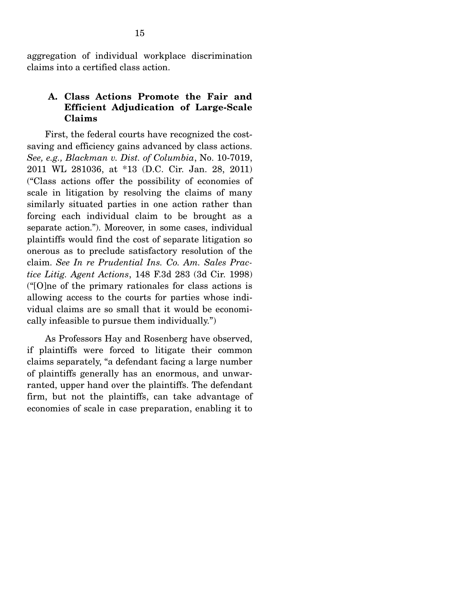aggregation of individual workplace discrimination claims into a certified class action.

### **A. Class Actions Promote the Fair and Efficient Adjudication of Large-Scale Claims**

 First, the federal courts have recognized the costsaving and efficiency gains advanced by class actions. *See, e.g., Blackman v. Dist. of Columbia*, No. 10-7019, 2011 WL 281036, at \*13 (D.C. Cir. Jan. 28, 2011) ("Class actions offer the possibility of economies of scale in litigation by resolving the claims of many similarly situated parties in one action rather than forcing each individual claim to be brought as a separate action."). Moreover, in some cases, individual plaintiffs would find the cost of separate litigation so onerous as to preclude satisfactory resolution of the claim. *See In re Prudential Ins. Co. Am. Sales Practice Litig. Agent Actions*, 148 F.3d 283 (3d Cir. 1998) ("[O]ne of the primary rationales for class actions is allowing access to the courts for parties whose individual claims are so small that it would be economically infeasible to pursue them individually.")

 As Professors Hay and Rosenberg have observed, if plaintiffs were forced to litigate their common claims separately, "a defendant facing a large number of plaintiffs generally has an enormous, and unwarranted, upper hand over the plaintiffs. The defendant firm, but not the plaintiffs, can take advantage of economies of scale in case preparation, enabling it to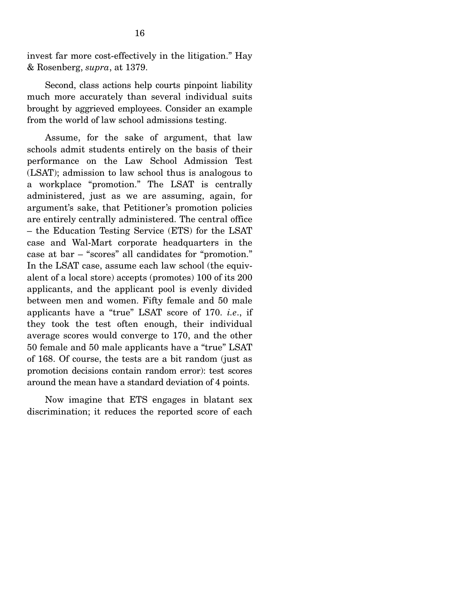invest far more cost-effectively in the litigation." Hay & Rosenberg, *supra*, at 1379.

 Second, class actions help courts pinpoint liability much more accurately than several individual suits brought by aggrieved employees. Consider an example from the world of law school admissions testing.

 Assume, for the sake of argument, that law schools admit students entirely on the basis of their performance on the Law School Admission Test (LSAT); admission to law school thus is analogous to a workplace "promotion." The LSAT is centrally administered, just as we are assuming, again, for argument's sake, that Petitioner's promotion policies are entirely centrally administered. The central office – the Education Testing Service (ETS) for the LSAT case and Wal-Mart corporate headquarters in the case at bar – "scores" all candidates for "promotion." In the LSAT case, assume each law school (the equivalent of a local store) accepts (promotes) 100 of its 200 applicants, and the applicant pool is evenly divided between men and women. Fifty female and 50 male applicants have a "true" LSAT score of 170. *i.e*., if they took the test often enough, their individual average scores would converge to 170, and the other 50 female and 50 male applicants have a "true" LSAT of 168. Of course, the tests are a bit random (just as promotion decisions contain random error): test scores around the mean have a standard deviation of 4 points.

 Now imagine that ETS engages in blatant sex discrimination; it reduces the reported score of each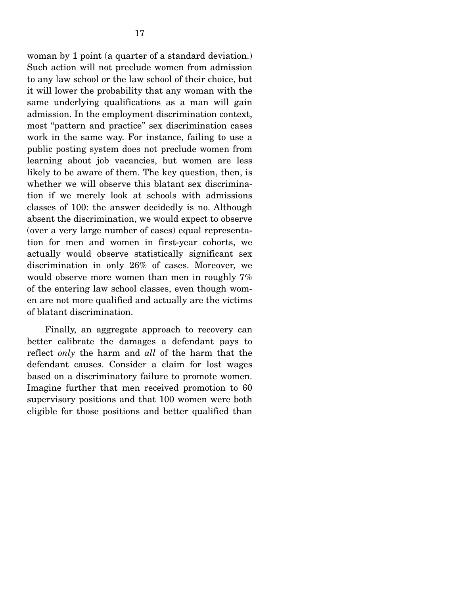woman by 1 point (a quarter of a standard deviation.) Such action will not preclude women from admission to any law school or the law school of their choice, but it will lower the probability that any woman with the same underlying qualifications as a man will gain admission. In the employment discrimination context, most "pattern and practice" sex discrimination cases work in the same way. For instance, failing to use a public posting system does not preclude women from learning about job vacancies, but women are less likely to be aware of them. The key question, then, is whether we will observe this blatant sex discrimination if we merely look at schools with admissions classes of 100: the answer decidedly is no. Although absent the discrimination, we would expect to observe (over a very large number of cases) equal representation for men and women in first-year cohorts, we actually would observe statistically significant sex discrimination in only 26% of cases. Moreover, we would observe more women than men in roughly 7% of the entering law school classes, even though women are not more qualified and actually are the victims of blatant discrimination.

 Finally, an aggregate approach to recovery can better calibrate the damages a defendant pays to reflect *only* the harm and *all* of the harm that the defendant causes. Consider a claim for lost wages based on a discriminatory failure to promote women. Imagine further that men received promotion to 60 supervisory positions and that 100 women were both eligible for those positions and better qualified than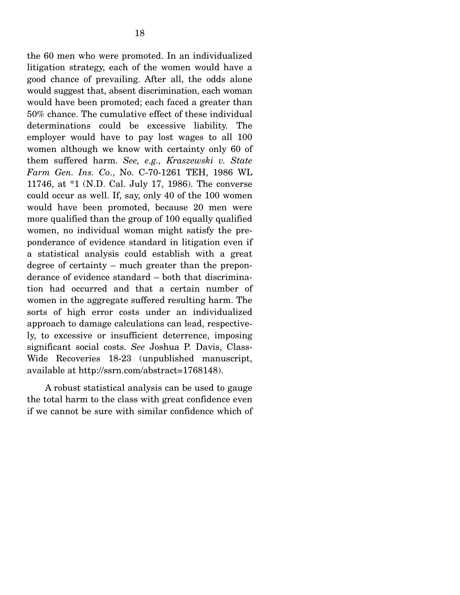the 60 men who were promoted. In an individualized litigation strategy, each of the women would have a good chance of prevailing. After all, the odds alone would suggest that, absent discrimination, each woman would have been promoted; each faced a greater than 50% chance. The cumulative effect of these individual determinations could be excessive liability. The employer would have to pay lost wages to all 100 women although we know with certainty only 60 of them suffered harm. *See, e.g., Kraszewski v. State Farm Gen. Ins. Co*., No. C-70-1261 TEH, 1986 WL 11746, at \*1 (N.D. Cal. July 17, 1986). The converse could occur as well. If, say, only 40 of the 100 women would have been promoted, because 20 men were more qualified than the group of 100 equally qualified women, no individual woman might satisfy the preponderance of evidence standard in litigation even if a statistical analysis could establish with a great degree of certainty – much greater than the preponderance of evidence standard – both that discrimination had occurred and that a certain number of women in the aggregate suffered resulting harm. The sorts of high error costs under an individualized approach to damage calculations can lead, respectively, to excessive or insufficient deterrence, imposing significant social costs. *See* Joshua P. Davis, Class-Wide Recoveries 18-23 (unpublished manuscript, available at http://ssrn.com/abstract=1768148).

 A robust statistical analysis can be used to gauge the total harm to the class with great confidence even if we cannot be sure with similar confidence which of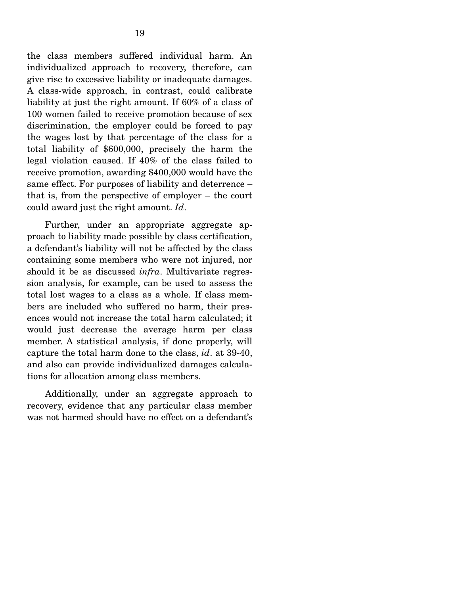the class members suffered individual harm. An individualized approach to recovery, therefore, can give rise to excessive liability or inadequate damages. A class-wide approach, in contrast, could calibrate liability at just the right amount. If 60% of a class of 100 women failed to receive promotion because of sex discrimination, the employer could be forced to pay the wages lost by that percentage of the class for a total liability of \$600,000, precisely the harm the legal violation caused. If 40% of the class failed to receive promotion, awarding \$400,000 would have the same effect. For purposes of liability and deterrence – that is, from the perspective of employer – the court could award just the right amount. *Id*.

 Further, under an appropriate aggregate approach to liability made possible by class certification, a defendant's liability will not be affected by the class containing some members who were not injured, nor should it be as discussed *infra*. Multivariate regression analysis, for example, can be used to assess the total lost wages to a class as a whole. If class members are included who suffered no harm, their presences would not increase the total harm calculated; it would just decrease the average harm per class member. A statistical analysis, if done properly, will capture the total harm done to the class, *id*. at 39-40, and also can provide individualized damages calculations for allocation among class members.

 Additionally, under an aggregate approach to recovery, evidence that any particular class member was not harmed should have no effect on a defendant's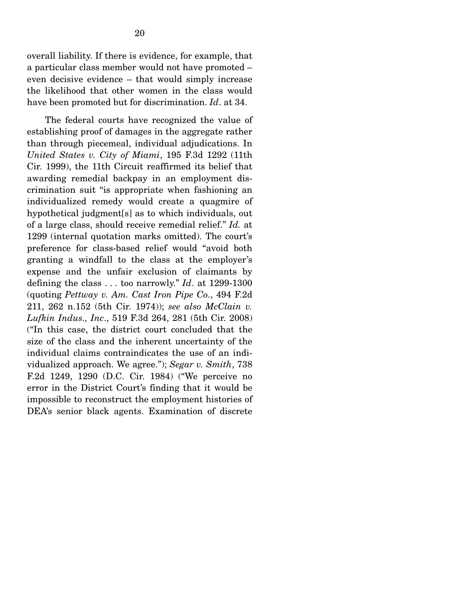overall liability. If there is evidence, for example, that a particular class member would not have promoted – even decisive evidence – that would simply increase the likelihood that other women in the class would have been promoted but for discrimination. *Id*. at 34.

 The federal courts have recognized the value of establishing proof of damages in the aggregate rather than through piecemeal, individual adjudications. In *United States v. City of Miami*, 195 F.3d 1292 (11th Cir. 1999), the 11th Circuit reaffirmed its belief that awarding remedial backpay in an employment discrimination suit "is appropriate when fashioning an individualized remedy would create a quagmire of hypothetical judgment[s] as to which individuals, out of a large class, should receive remedial relief." *Id.* at 1299 (internal quotation marks omitted). The court's preference for class-based relief would "avoid both granting a windfall to the class at the employer's expense and the unfair exclusion of claimants by defining the class . . . too narrowly." *Id*. at 1299-1300 (quoting *Pettway v. Am. Cast Iron Pipe Co*., 494 F.2d 211, 262 n.152 (5th Cir. 1974)); *see also McClain v. Lufkin Indus., Inc*., 519 F.3d 264, 281 (5th Cir. 2008) ("In this case, the district court concluded that the size of the class and the inherent uncertainty of the individual claims contraindicates the use of an individualized approach. We agree."); *Segar v. Smith*, 738 F.2d 1249, 1290 (D.C. Cir. 1984) ("We perceive no error in the District Court's finding that it would be impossible to reconstruct the employment histories of DEA's senior black agents. Examination of discrete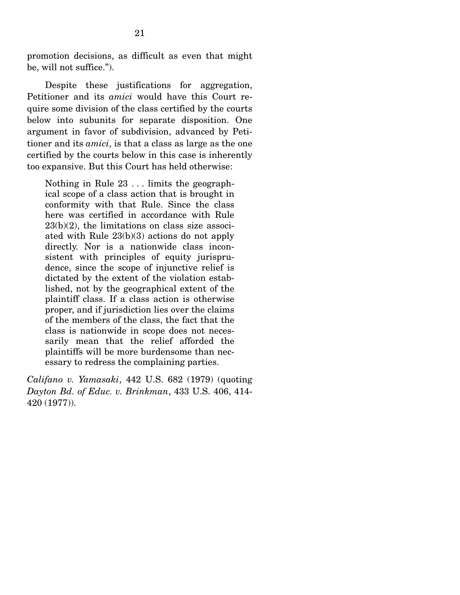promotion decisions, as difficult as even that might be, will not suffice.").

 Despite these justifications for aggregation, Petitioner and its *amici* would have this Court require some division of the class certified by the courts below into subunits for separate disposition. One argument in favor of subdivision, advanced by Petitioner and its *amici*, is that a class as large as the one certified by the courts below in this case is inherently too expansive. But this Court has held otherwise:

Nothing in Rule 23 . . . limits the geographical scope of a class action that is brought in conformity with that Rule. Since the class here was certified in accordance with Rule 23(b)(2), the limitations on class size associated with Rule 23(b)(3) actions do not apply directly. Nor is a nationwide class inconsistent with principles of equity jurisprudence, since the scope of injunctive relief is dictated by the extent of the violation established, not by the geographical extent of the plaintiff class. If a class action is otherwise proper, and if jurisdiction lies over the claims of the members of the class, the fact that the class is nationwide in scope does not necessarily mean that the relief afforded the plaintiffs will be more burdensome than necessary to redress the complaining parties.

*Califano v. Yamasaki*, 442 U.S. 682 (1979) (quoting *Dayton Bd. of Educ. v. Brinkman*, 433 U.S. 406, 414- 420 (1977)).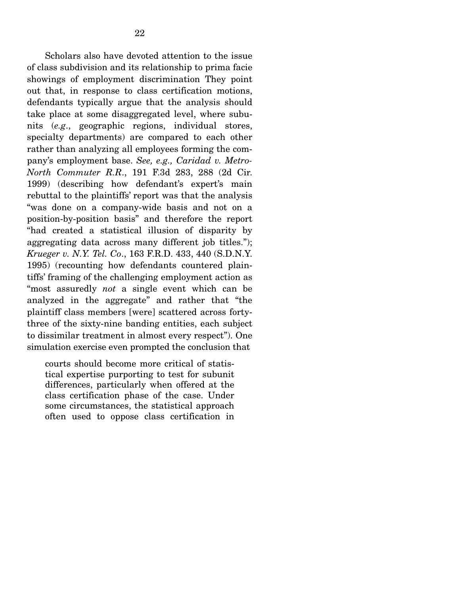Scholars also have devoted attention to the issue of class subdivision and its relationship to prima facie showings of employment discrimination They point out that, in response to class certification motions, defendants typically argue that the analysis should take place at some disaggregated level, where subunits (*e.g*., geographic regions, individual stores, specialty departments) are compared to each other rather than analyzing all employees forming the company's employment base. *See, e.g., Caridad v. Metro-North Commuter R.R*., 191 F.3d 283, 288 (2d Cir. 1999) (describing how defendant's expert's main rebuttal to the plaintiffs' report was that the analysis "was done on a company-wide basis and not on a position-by-position basis" and therefore the report "had created a statistical illusion of disparity by aggregating data across many different job titles."); *Krueger v. N.Y. Tel. Co*., 163 F.R.D. 433, 440 (S.D.N.Y. 1995) (recounting how defendants countered plaintiffs' framing of the challenging employment action as "most assuredly *not* a single event which can be analyzed in the aggregate" and rather that "the plaintiff class members [were] scattered across fortythree of the sixty-nine banding entities, each subject to dissimilar treatment in almost every respect"). One simulation exercise even prompted the conclusion that

courts should become more critical of statistical expertise purporting to test for subunit differences, particularly when offered at the class certification phase of the case. Under some circumstances, the statistical approach often used to oppose class certification in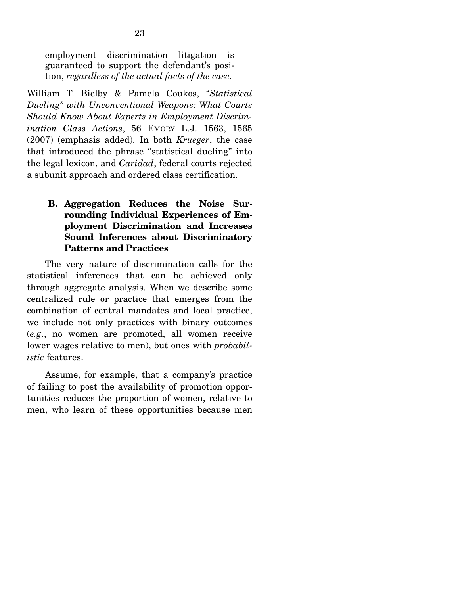employment discrimination litigation is guaranteed to support the defendant's position, *regardless of the actual facts of the case*.

William T. Bielby & Pamela Coukos, *"Statistical Dueling" with Unconventional Weapons: What Courts Should Know About Experts in Employment Discrimination Class Actions*, 56 EMORY L.J. 1563, 1565 (2007) (emphasis added). In both *Krueger*, the case that introduced the phrase "statistical dueling" into the legal lexicon, and *Caridad*, federal courts rejected a subunit approach and ordered class certification.

## **B. Aggregation Reduces the Noise Surrounding Individual Experiences of Employment Discrimination and Increases Sound Inferences about Discriminatory Patterns and Practices**

 The very nature of discrimination calls for the statistical inferences that can be achieved only through aggregate analysis. When we describe some centralized rule or practice that emerges from the combination of central mandates and local practice, we include not only practices with binary outcomes (*e.g*., no women are promoted, all women receive lower wages relative to men), but ones with *probabilistic* features.

 Assume, for example, that a company's practice of failing to post the availability of promotion opportunities reduces the proportion of women, relative to men, who learn of these opportunities because men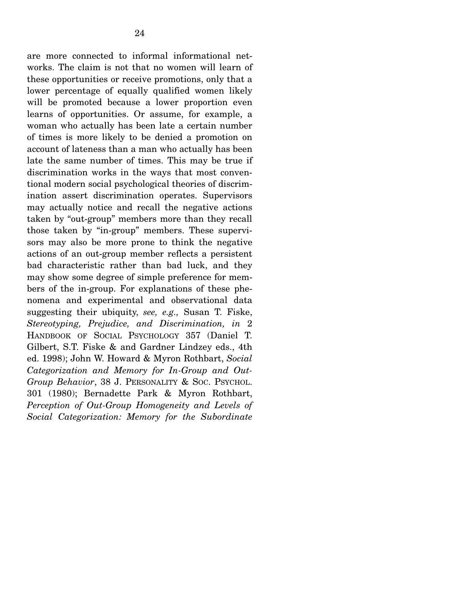are more connected to informal informational networks. The claim is not that no women will learn of these opportunities or receive promotions, only that a lower percentage of equally qualified women likely will be promoted because a lower proportion even learns of opportunities. Or assume, for example, a woman who actually has been late a certain number of times is more likely to be denied a promotion on account of lateness than a man who actually has been late the same number of times. This may be true if discrimination works in the ways that most conventional modern social psychological theories of discrimination assert discrimination operates. Supervisors may actually notice and recall the negative actions taken by "out-group" members more than they recall those taken by "in-group" members. These supervisors may also be more prone to think the negative actions of an out-group member reflects a persistent bad characteristic rather than bad luck, and they may show some degree of simple preference for members of the in-group. For explanations of these phenomena and experimental and observational data suggesting their ubiquity, *see, e.g.,* Susan T. Fiske, *Stereotyping, Prejudice, and Discrimination, in* 2 HANDBOOK OF SOCIAL PSYCHOLOGY 357 (Daniel T. Gilbert, S.T. Fiske & and Gardner Lindzey eds., 4th ed. 1998); John W. Howard & Myron Rothbart, *Social Categorization and Memory for In-Group and Out-Group Behavior*, 38 J. PERSONALITY & SOC. PSYCHOL. 301 (1980); Bernadette Park & Myron Rothbart, *Perception of Out-Group Homogeneity and Levels of Social Categorization: Memory for the Subordinate*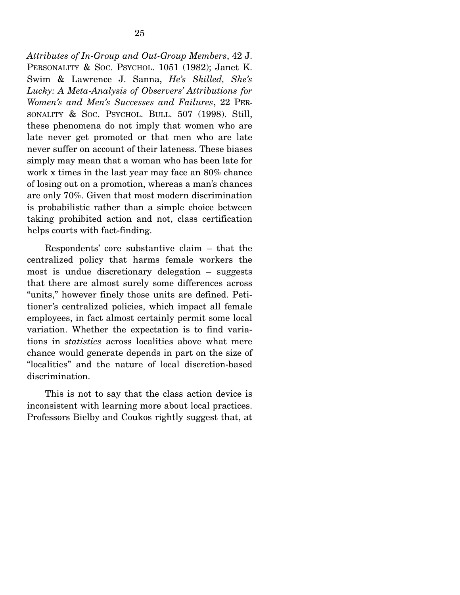*Attributes of In-Group and Out-Group Members*, 42 J. PERSONALITY & SOC. PSYCHOL. 1051 (1982); Janet K. Swim & Lawrence J. Sanna, *He's Skilled, She's Lucky: A Meta-Analysis of Observers' Attributions for Women's and Men's Successes and Failures*, 22 PER-SONALITY & SOC. PSYCHOL. BULL. 507 (1998). Still, these phenomena do not imply that women who are late never get promoted or that men who are late never suffer on account of their lateness. These biases simply may mean that a woman who has been late for work x times in the last year may face an 80% chance of losing out on a promotion, whereas a man's chances are only 70%. Given that most modern discrimination is probabilistic rather than a simple choice between taking prohibited action and not, class certification helps courts with fact-finding.

 Respondents' core substantive claim – that the centralized policy that harms female workers the most is undue discretionary delegation – suggests that there are almost surely some differences across "units," however finely those units are defined. Petitioner's centralized policies, which impact all female employees, in fact almost certainly permit some local variation. Whether the expectation is to find variations in *statistics* across localities above what mere chance would generate depends in part on the size of "localities" and the nature of local discretion-based discrimination.

 This is not to say that the class action device is inconsistent with learning more about local practices. Professors Bielby and Coukos rightly suggest that, at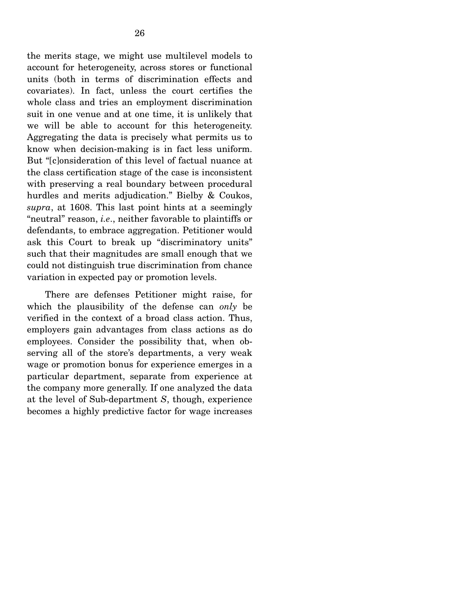the merits stage, we might use multilevel models to account for heterogeneity, across stores or functional units (both in terms of discrimination effects and covariates). In fact, unless the court certifies the whole class and tries an employment discrimination suit in one venue and at one time, it is unlikely that we will be able to account for this heterogeneity. Aggregating the data is precisely what permits us to know when decision-making is in fact less uniform. But "[c]onsideration of this level of factual nuance at the class certification stage of the case is inconsistent with preserving a real boundary between procedural hurdles and merits adjudication." Bielby & Coukos, *supra*, at 1608. This last point hints at a seemingly "neutral" reason, *i.e*., neither favorable to plaintiffs or defendants, to embrace aggregation. Petitioner would ask this Court to break up "discriminatory units" such that their magnitudes are small enough that we could not distinguish true discrimination from chance variation in expected pay or promotion levels.

 There are defenses Petitioner might raise, for which the plausibility of the defense can *only* be verified in the context of a broad class action. Thus, employers gain advantages from class actions as do employees. Consider the possibility that, when observing all of the store's departments, a very weak wage or promotion bonus for experience emerges in a particular department, separate from experience at the company more generally. If one analyzed the data at the level of Sub-department *S*, though, experience becomes a highly predictive factor for wage increases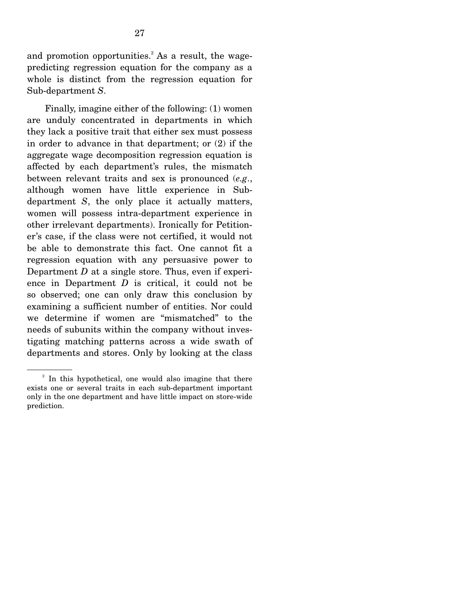and promotion opportunities.<sup>2</sup> As a result, the wagepredicting regression equation for the company as a whole is distinct from the regression equation for Sub-department *S*.

 Finally, imagine either of the following: (1) women are unduly concentrated in departments in which they lack a positive trait that either sex must possess in order to advance in that department; or (2) if the aggregate wage decomposition regression equation is affected by each department's rules, the mismatch between relevant traits and sex is pronounced (*e.g*., although women have little experience in Subdepartment *S*, the only place it actually matters, women will possess intra-department experience in other irrelevant departments). Ironically for Petitioner's case, if the class were not certified, it would not be able to demonstrate this fact. One cannot fit a regression equation with any persuasive power to Department *D* at a single store. Thus, even if experience in Department *D* is critical, it could not be so observed; one can only draw this conclusion by examining a sufficient number of entities. Nor could we determine if women are "mismatched" to the needs of subunits within the company without investigating matching patterns across a wide swath of departments and stores. Only by looking at the class

<sup>&</sup>lt;sup>2</sup> In this hypothetical, one would also imagine that there exists one or several traits in each sub-department important only in the one department and have little impact on store-wide prediction.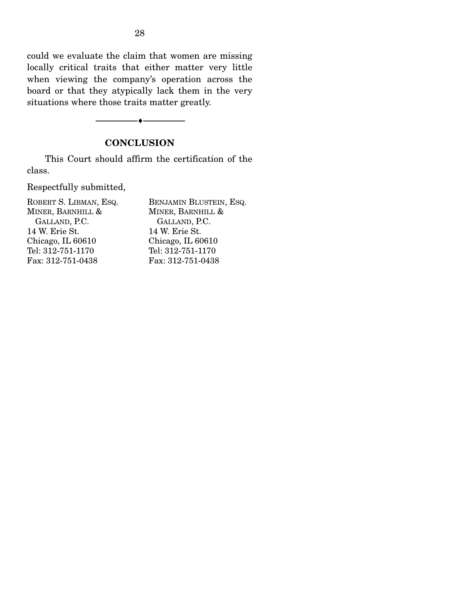could we evaluate the claim that women are missing locally critical traits that either matter very little when viewing the company's operation across the board or that they atypically lack them in the very situations where those traits matter greatly.

### **CONCLUSION**

 $\overbrace{\hspace{2.5cm}}$   $\overbrace{\hspace{2.5cm}}$   $\overbrace{\hspace{2.5cm}}$ 

 This Court should affirm the certification of the class.

Respectfully submitted,

| BENJAMIN BLUSTEIN, ESQ. |
|-------------------------|
| MINER, BARNHILL &       |
| GALLAND, P.C.           |
| 14 W. Erie St.          |
| Chicago, IL 60610       |
| Tel: 312-751-1170       |
| Fax: 312-751-0438       |
|                         |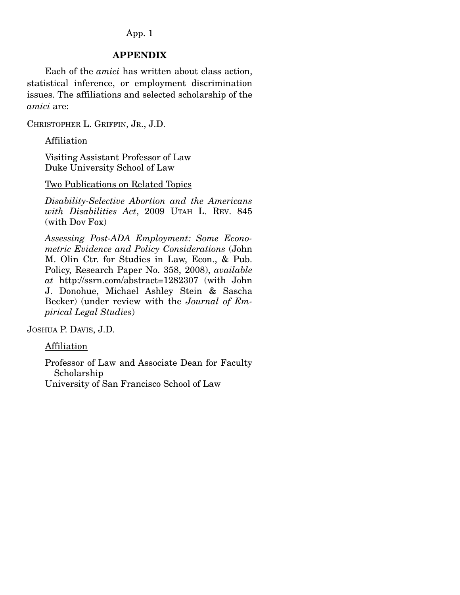### App. 1

### **APPENDIX**

 Each of the *amici* has written about class action, statistical inference, or employment discrimination issues. The affiliations and selected scholarship of the *amici* are:

CHRISTOPHER L. GRIFFIN, JR., J.D.

Affiliation

Visiting Assistant Professor of Law Duke University School of Law

Two Publications on Related Topics

*Disability-Selective Abortion and the Americans with Disabilities Act*, 2009 UTAH L. REV. 845 (with Dov Fox)

*Assessing Post-ADA Employment: Some Econometric Evidence and Policy Considerations* (John M. Olin Ctr. for Studies in Law, Econ., & Pub. Policy, Research Paper No. 358, 2008), *available at* http://ssrn.com/abstract=1282307 (with John J. Donohue, Michael Ashley Stein & Sascha Becker) (under review with the *Journal of Empirical Legal Studies*)

JOSHUA P. DAVIS, J.D.

Affiliation

Professor of Law and Associate Dean for Faculty Scholarship University of San Francisco School of Law